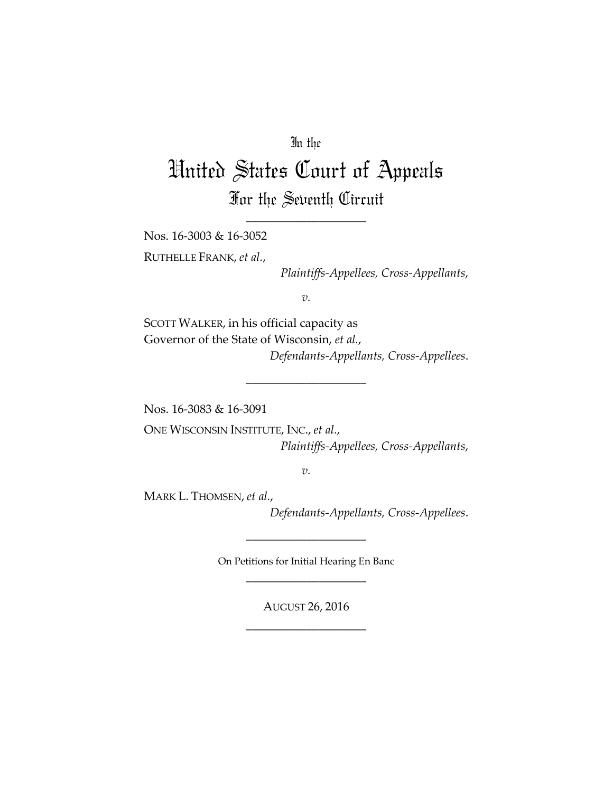## In the

## United States Court of Appeals For the Seventh Circuit

\_\_\_\_\_\_\_\_\_\_\_\_\_\_\_\_\_\_\_\_

Nos. 16‐3003 & 16‐3052

RUTHELLE FRANK, *et al.*,

*Plaintiffs‐Appellees, Cross‐Appellants*,

*v.*

SCOTT WALKER, in his official capacity as Governor of the State of Wisconsin, *et al.*, *Defendants‐Appellants, Cross‐Appellees*.

\_\_\_\_\_\_\_\_\_\_\_\_\_\_\_\_\_\_\_\_

Nos. 16‐3083 & 16‐3091

ONE WISCONSIN INSTITUTE, INC., *et al.*, *Plaintiffs‐Appellees, Cross‐Appellants*,

*v.*

MARK L. THOMSEN, *et al.*,

*Defendants‐Appellants, Cross‐Appellees*.

On Petitions for Initial Hearing En Banc \_\_\_\_\_\_\_\_\_\_\_\_\_\_\_\_\_\_\_\_

\_\_\_\_\_\_\_\_\_\_\_\_\_\_\_\_\_\_\_\_

AUGUST 26, 2016 \_\_\_\_\_\_\_\_\_\_\_\_\_\_\_\_\_\_\_\_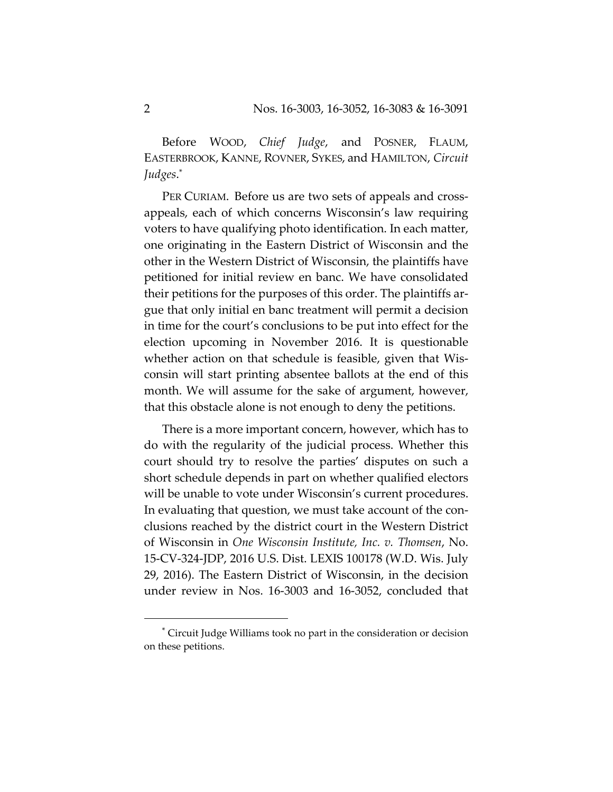Before WOOD, *Chief Judge*, and POSNER, FLAUM, EASTERBROOK, KANNE, ROVNER, SYKES, and HAMILTON, *Circuit Judges*.\*

PER CURIAM. Before us are two sets of appeals and crossappeals, each of which concerns Wisconsin's law requiring voters to have qualifying photo identification. In each matter, one originating in the Eastern District of Wisconsin and the other in the Western District of Wisconsin, the plaintiffs have petitioned for initial review en banc. We have consolidated their petitions for the purposes of this order. The plaintiffs ar‐ gue that only initial en banc treatment will permit a decision in time for the court's conclusions to be put into effect for the election upcoming in November 2016. It is questionable whether action on that schedule is feasible, given that Wisconsin will start printing absentee ballots at the end of this month. We will assume for the sake of argument, however, that this obstacle alone is not enough to deny the petitions.

There is a more important concern, however, which has to do with the regularity of the judicial process. Whether this court should try to resolve the parties' disputes on such a short schedule depends in part on whether qualified electors will be unable to vote under Wisconsin's current procedures. In evaluating that question, we must take account of the conclusions reached by the district court in the Western District of Wisconsin in *One Wisconsin Institute, Inc. v. Thomsen*, No. 15‐CV‐324‐JDP, 2016 U.S. Dist. LEXIS 100178 (W.D. Wis. July 29, 2016). The Eastern District of Wisconsin, in the decision under review in Nos. 16‐3003 and 16‐3052, concluded that

<sup>\*</sup> Circuit Judge Williams took no part in the consideration or decision on these petitions.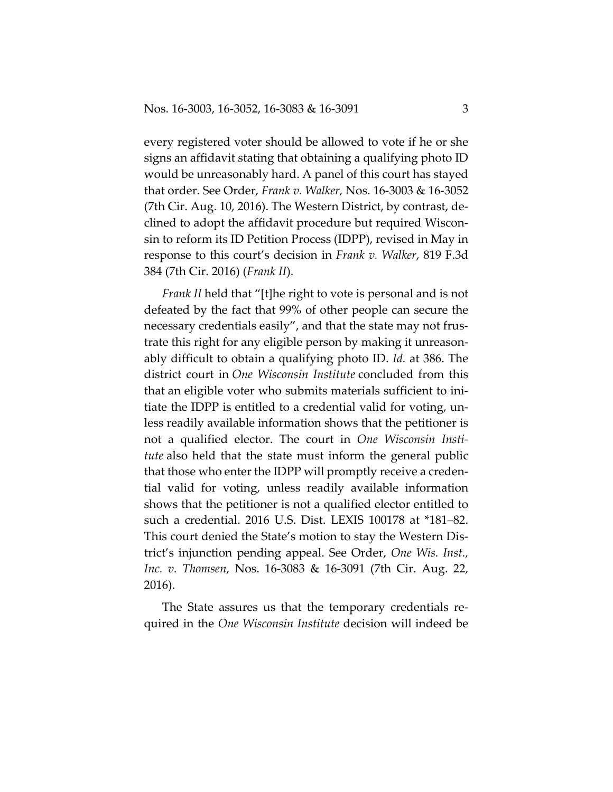every registered voter should be allowed to vote if he or she signs an affidavit stating that obtaining a qualifying photo ID would be unreasonably hard. A panel of this court has stayed that order. See Order, *Frank v. Walker,* Nos. 16‐3003 & 16‐3052 (7th Cir. Aug. 10, 2016). The Western District, by contrast, de‐ clined to adopt the affidavit procedure but required Wiscon‐ sin to reform its ID Petition Process (IDPP), revised in May in response to this court's decision in *Frank v. Walker*, 819 F.3d 384 (7th Cir. 2016) (*Frank II*).

*Frank II* held that "[t]he right to vote is personal and is not defeated by the fact that 99% of other people can secure the necessary credentials easily", and that the state may not frus‐ trate this right for any eligible person by making it unreason‐ ably difficult to obtain a qualifying photo ID. *Id.* at 386. The district court in *One Wisconsin Institute* concluded from this that an eligible voter who submits materials sufficient to ini‐ tiate the IDPP is entitled to a credential valid for voting, un‐ less readily available information shows that the petitioner is not a qualified elector. The court in *One Wisconsin Insti‐ tute* also held that the state must inform the general public that those who enter the IDPP will promptly receive a creden‐ tial valid for voting, unless readily available information shows that the petitioner is not a qualified elector entitled to such a credential. 2016 U.S. Dist. LEXIS 100178 at \*181–82. This court denied the State's motion to stay the Western Dis‐ trict's injunction pending appeal. See Order, *One Wis. Inst., Inc. v. Thomsen*, Nos. 16‐3083 & 16‐3091 (7th Cir. Aug. 22, 2016).

The State assures us that the temporary credentials re‐ quired in the *One Wisconsin Institute* decision will indeed be